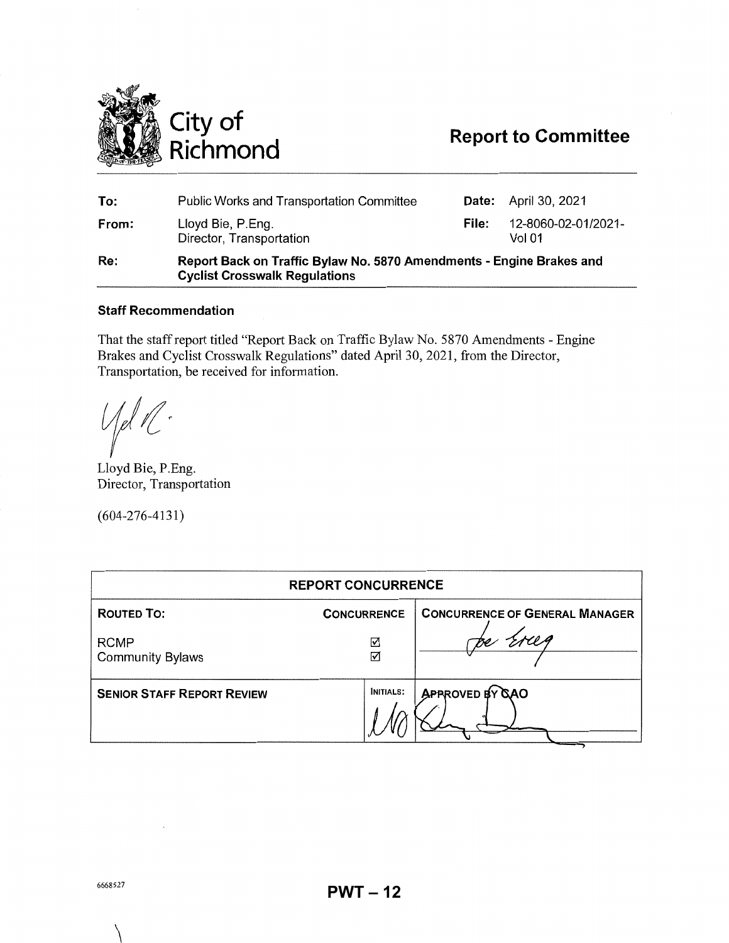

| To:   | Public Works and Transportation Committee                                                                    |       | <b>Date:</b> April 30, 2021   |
|-------|--------------------------------------------------------------------------------------------------------------|-------|-------------------------------|
| From: | Lloyd Bie, P.Eng.<br>Director, Transportation                                                                | File: | 12-8060-02-01/2021-<br>Vol 01 |
| Re:   | Report Back on Traffic Bylaw No. 5870 Amendments - Engine Brakes and<br><b>Cyclist Crosswalk Regulations</b> |       |                               |

# **Staff Recommendation**

That the staff report titled "Report Back on Traffic Bylaw No. 5870 Amendments - Engine Brakes and Cyclist Crosswalk Regulations" dated April 30, 2021, from the Director, Transportation, be received for information.

{|el 1

Lloyd Bie, P.Eng. Director, Transportation

(604-276-4131)

| <b>REPORT CONCURRENCE</b>              |                    |                                       |  |  |
|----------------------------------------|--------------------|---------------------------------------|--|--|
| <b>ROUTED TO:</b>                      | <b>CONCURRENCE</b> | <b>CONCURRENCE OF GENERAL MANAGER</b> |  |  |
| <b>RCMP</b><br><b>Community Bylaws</b> | ☑<br>☑             |                                       |  |  |
| <b>SENIOR STAFF REPORT REVIEW</b>      | <b>INITIALS:</b>   | APPROVED BY GAO                       |  |  |

 $\setminus$